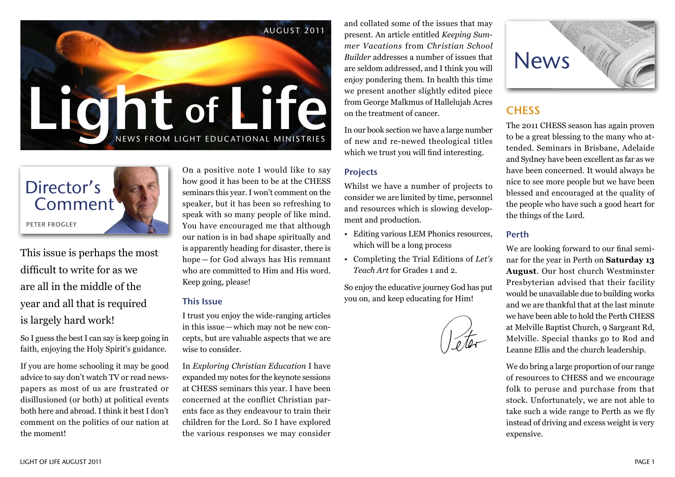



This issue is perhaps the most difficult to write for as we are all in the middle of the year and all that is required is largely hard work!

So I guess the best I can say is keep going in faith, enjoying the Holy Spirit's guidance.

If you are home schooling it may be good advice to say don't watch TV or read newspapers as most of us are frustrated or disillusioned (or both) at political events both here and abroad. I think it best I don't comment on the politics of our nation at the moment!

On a positive note I would like to say how good it has been to be at the CHESS seminars this year. I won't comment on the speaker, but it has been so refreshing to speak with so many people of like mind. You have encouraged me that although our nation is in bad shape spiritually and is apparently heading for disaster, there is hope — for God always has His remnant who are committed to Him and His word. Keep going, please!

### This Issue

I trust you enjoy the wide-ranging articles in this issue—which may not be new concepts, but are valuable aspects that we are wise to consider.

In *Exploring Christian Education* I have expanded my notes for the keynote sessions at CHESS seminars this year. I have been concerned at the conflict Christian parents face as they endeavour to train their children for the Lord. So I have explored the various responses we may consider

and collated some of the issues that may present. An article entitled *Keeping Summer Vacations* from *Christian School Builder* addresses a number of issues that are seldom addressed, and I think you will enjoy pondering them. In health this time we present another slightly edited piece from George Malkmus of Hallelujah Acres on the treatment of cancer.

In our book section we have a large number of new and re-newed theological titles which we trust you will find interesting.

## Projects

Whilst we have a number of projects to consider we are limited by time, personnel and resources which is slowing development and production.

- Editing various LEM Phonics resources, which will be a long process
- Completing the Trial Editions of *Let's Teach Art* for Grades 1 and 2.

So enjoy the educative journey God has put you on, and keep educating for Him!



## **CHESS**

The 2011 CHESS season has again proven to be a great blessing to the many who attended. Seminars in Brisbane, Adelaide and Sydney have been excellent as far as we have been concerned. It would always be nice to see more people but we have been blessed and encouraged at the quality of the people who have such a good heart for the things of the Lord.

#### Perth

We are looking forward to our final seminar for the year in Perth on **Saturday 13 August**. Our host church Westminster Presbyterian advised that their facility would be unavailable due to building works and we are thankful that at the last minute we have been able to hold the Perth CHESS at Melville Baptist Church, 9 Sargeant Rd, Melville. Special thanks go to Rod and Leanne Ellis and the church leadership.

We do bring a large proportion of our range of resources to CHESS and we encourage folk to peruse and purchase from that stock. Unfortunately, we are not able to take such a wide range to Perth as we fly instead of driving and excess weight is very expensive.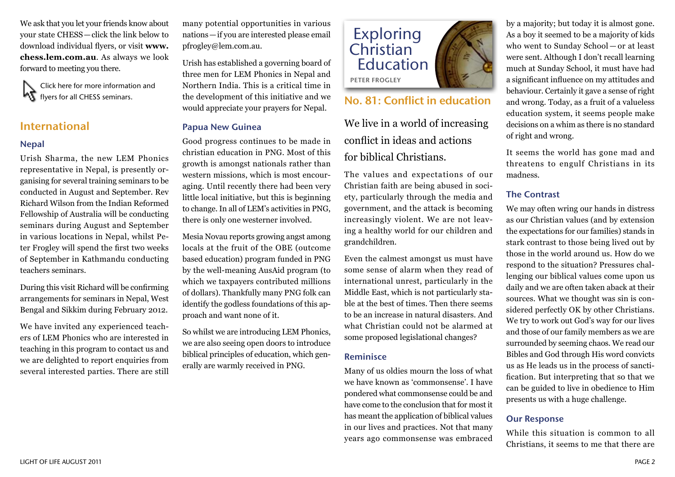We ask that you let your friends know about your state CHESS—click the link below to download individual flyers, or visit **[www.](http://www.chess.lem.com.au) [chess.lem.com.au](http://www.chess.lem.com.au)**. As always we look forward to meeting you there.

Click here for more information and **KT** flyers for all CHESS seminars.

## International

## Nepal

Urish Sharma, the new LEM Phonics representative in Nepal, is presently organising for several training seminars to be conducted in August and September. Rev Richard Wilson from the Indian Reformed Fellowship of Australia will be conducting seminars during August and September in various locations in Nepal, whilst Peter Frogley will spend the first two weeks of September in Kathmandu conducting teachers seminars.

During this visit Richard will be confirming arrangements for seminars in Nepal, West Bengal and Sikkim during February 2012.

We have invited any experienced teachers of LEM Phonics who are interested in teaching in this program to contact us and we are delighted to report enquiries from several interested parties. There are still

many potential opportunities in various nations—if you are interested please email pfrogley@lem.com.au.

Urish has established a governing board of three men for LEM Phonics in Nepal and Northern India. This is a critical time in the development of this initiative and we would appreciate your prayers for Nepal.

## Papua New Guinea

Good progress continues to be made in christian education in PNG. Most of this growth is amongst nationals rather than western missions, which is most encouraging. Until recently there had been very little local initiative, but this is beginning to change. In all of LEM's activities in PNG, there is only one westerner involved.

Mesia Novau reports growing angst among locals at the fruit of the OBE (outcome based education) program funded in PNG by the well-meaning AusAid program (to which we taxpayers contributed millions of dollars). Thankfully many PNG folk can identify the godless foundations of this approach and want none of it.

So whilst we are introducing LEM Phonics, we are also seeing open doors to introduce biblical principles of education, which generally are warmly received in PNG.



## No. 81: Conflict in education

We live in a world of increasing conflict in ideas and actions for biblical Christians.

The values and expectations of our Christian faith are being abused in society, particularly through the media and government, and the attack is becoming increasingly violent. We are not leaving a healthy world for our children and grandchildren.

Even the calmest amongst us must have some sense of alarm when they read of international unrest, particularly in the Middle East, which is not particularly stable at the best of times. Then there seems to be an increase in natural disasters. And what Christian could not be alarmed at some proposed legislational changes?

## Reminisce

Many of us oldies mourn the loss of what we have known as 'commonsense'. I have pondered what commonsense could be and have come to the conclusion that for most it has meant the application of biblical values in our lives and practices. Not that many years ago commonsense was embraced

by a majority; but today it is almost gone. As a boy it seemed to be a majority of kids who went to Sunday School — or at least were sent. Although I don't recall learning much at Sunday School, it must have had a significant influence on my attitudes and behaviour. Certainly it gave a sense of right and wrong. Today, as a fruit of a valueless education system, it seems people make decisions on a whim as there is no standard of right and wrong.

It seems the world has gone mad and threatens to engulf Christians in its madness.

## The Contrast

We may often wring our hands in distress as our Christian values (and by extension the expectations for our families) stands in stark contrast to those being lived out by those in the world around us. How do we respond to the situation? Pressures challenging our biblical values come upon us daily and we are often taken aback at their sources. What we thought was sin is considered perfectly OK by other Christians. We try to work out God's way for our lives and those of our family members as we are surrounded by seeming chaos. We read our Bibles and God through His word convicts us as He leads us in the process of sanctification. But interpreting that so that we can be guided to live in obedience to Him presents us with a huge challenge.

## Our Response

While this situation is common to all Christians, it seems to me that there are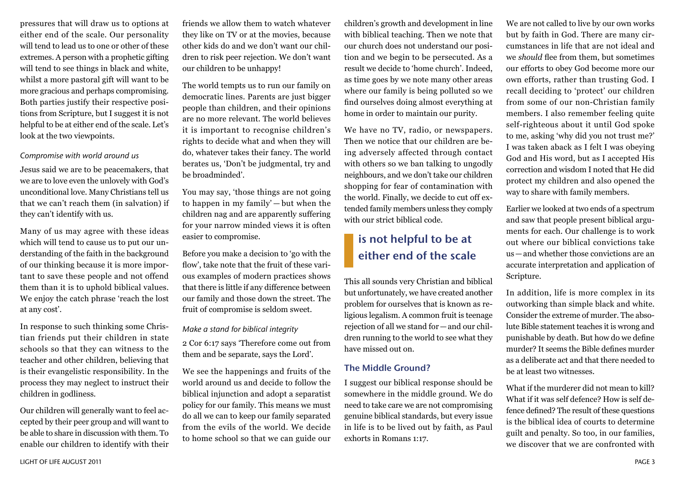pressures that will draw us to options at either end of the scale. Our personality will tend to lead us to one or other of these extremes. A person with a prophetic gifting will tend to see things in black and white, whilst a more pastoral gift will want to be more gracious and perhaps compromising. Both parties justify their respective positions from Scripture, but I suggest it is not helpful to be at either end of the scale. Let's look at the two viewpoints.

#### *Compromise with world around us*

Jesus said we are to be peacemakers, that we are to love even the unlovely with God's unconditional love. Many Christians tell us that we can't reach them (in salvation) if they can't identify with us.

Many of us may agree with these ideas which will tend to cause us to put our understanding of the faith in the background of our thinking because it is more important to save these people and not offend them than it is to uphold biblical values. We enjoy the catch phrase 'reach the lost at any cost'.

In response to such thinking some Christian friends put their children in state schools so that they can witness to the teacher and other children, believing that is their evangelistic responsibility. In the process they may neglect to instruct their children in godliness.

Our children will generally want to feel accepted by their peer group and will want to be able to share in discussion with them. To enable our children to identify with their friends we allow them to watch whatever they like on TV or at the movies, because other kids do and we don't want our children to risk peer rejection. We don't want our children to be unhappy!

The world tempts us to run our family on democratic lines. Parents are just bigger people than children, and their opinions are no more relevant. The world believes it is important to recognise children's rights to decide what and when they will do, whatever takes their fancy. The world berates us, 'Don't be judgmental, try and be broadminded'.

You may say, 'those things are not going to happen in my family' — but when the children nag and are apparently suffering for your narrow minded views it is often easier to compromise.

Before you make a decision to 'go with the flow', take note that the fruit of these various examples of modern practices shows that there is little if any difference between our family and those down the street. The fruit of compromise is seldom sweet.

#### *Make a stand for biblical integrity*

2 Cor 6:17 says 'Therefore come out from them and be separate, says the Lord'.

We see the happenings and fruits of the world around us and decide to follow the biblical injunction and adopt a separatist policy for our family. This means we must do all we can to keep our family separated from the evils of the world. We decide to home school so that we can guide our

children's growth and development in line with biblical teaching. Then we note that our church does not understand our position and we begin to be persecuted. As a result we decide to 'home church'. Indeed, as time goes by we note many other areas where our family is being polluted so we find ourselves doing almost everything at home in order to maintain our purity.

We have no TV, radio, or newspapers. Then we notice that our children are being adversely affected through contact with others so we ban talking to ungodly neighbours, and we don't take our children shopping for fear of contamination with the world. Finally, we decide to cut off extended family members unless they comply with our strict biblical code.

## is not helpful to be at either end of the scale

This all sounds very Christian and biblical but unfortunately, we have created another problem for ourselves that is known as religious legalism. A common fruit is teenage rejection of all we stand for—and our children running to the world to see what they have missed out on.

## The Middle Ground?

I suggest our biblical response should be somewhere in the middle ground. We do need to take care we are not compromising genuine biblical standards, but every issue in life is to be lived out by faith, as Paul exhorts in Romans 1:17.

We are not called to live by our own works but by faith in God. There are many circumstances in life that are not ideal and we *should* flee from them, but sometimes our efforts to obey God become more our own efforts, rather than trusting God. I recall deciding to 'protect' our children from some of our non-Christian family members. I also remember feeling quite self-righteous about it until God spoke to me, asking 'why did you not trust me?' I was taken aback as I felt I was obeying God and His word, but as I accepted His correction and wisdom I noted that He did protect my children and also opened the way to share with family members.

Earlier we looked at two ends of a spectrum and saw that people present biblical arguments for each. Our challenge is to work out where our biblical convictions take us—and whether those convictions are an accurate interpretation and application of Scripture.

In addition, life is more complex in its outworking than simple black and white. Consider the extreme of murder. The absolute Bible statement teaches it is wrong and punishable by death. But how do we define murder? It seems the Bible defines murder as a deliberate act and that there needed to be at least two witnesses.

What if the murderer did not mean to kill? What if it was self defence? How is self defence defined? The result of these questions is the biblical idea of courts to determine guilt and penalty. So too, in our families, we discover that we are confronted with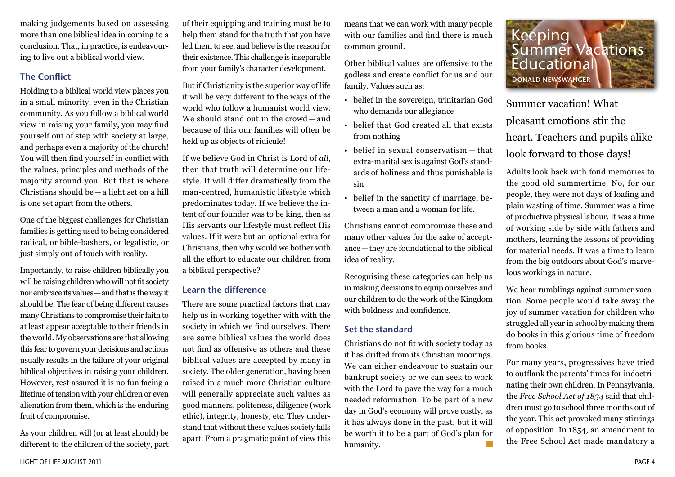making judgements based on assessing more than one biblical idea in coming to a conclusion. That, in practice, is endeavouring to live out a biblical world view.

## The Conflict

Holding to a biblical world view places you in a small minority, even in the Christian community. As you follow a biblical world view in raising your family, you may find yourself out of step with society at large, and perhaps even a majority of the church! You will then find yourself in conflict with the values, principles and methods of the majority around you. But that is where Christians should be—a light set on a hill is one set apart from the others.

One of the biggest challenges for Christian families is getting used to being considered radical, or bible-bashers, or legalistic, or just simply out of touch with reality.

Importantly, to raise children biblically you will be raising children who will not fit society nor embrace its values—and that is the way it should be. The fear of being different causes many Christians to compromise their faith to at least appear acceptable to their friends in the world. My observations are that allowing this fear to govern your decisions and actions usually results in the failure of your original biblical objectives in raising your children. However, rest assured it is no fun facing a lifetime of tension with your children or even alienation from them, which is the enduring fruit of compromise.

As your children will (or at least should) be different to the children of the society, part

of their equipping and training must be to help them stand for the truth that you have led them to see, and believe is the reason for their existence. This challenge is inseparable from your family's character development.

But if Christianity is the superior way of life it will be very different to the ways of the world who follow a humanist world view. We should stand out in the crowd — and because of this our families will often be held up as objects of ridicule!

If we believe God in Christ is Lord of *all*, then that truth will determine our lifestyle. It will differ dramatically from the man-centred, humanistic lifestyle which predominates today. If we believe the intent of our founder was to be king, then as His servants our lifestyle must reflect His values. If it were but an optional extra for Christians, then why would we bother with all the effort to educate our children from a biblical perspective?

## Learn the difference

There are some practical factors that may help us in working together with with the society in which we find ourselves. There are some biblical values the world does not find as offensive as others and these biblical values are accepted by many in society. The older generation, having been raised in a much more Christian culture will generally appreciate such values as good manners, politeness, diligence (work ethic), integrity, honesty, etc. They understand that without these values society falls apart. From a pragmatic point of view this

means that we can work with many people with our families and find there is much common ground.

Other biblical values are offensive to the godless and create conflict for us and our family. Values such as:

- belief in the sovereign, trinitarian God who demands our allegiance
- belief that God created all that exists from nothing
- belief in sexual conservatism that extra-marital sex is against God's standards of holiness and thus punishable is sin
- belief in the sanctity of marriage, between a man and a woman for life.

Christians cannot compromise these and many other values for the sake of acceptance—they are foundational to the biblical idea of reality.

Recognising these categories can help us in making decisions to equip ourselves and our children to do the work of the Kingdom with boldness and confidence.

## Set the standard

Christians do not fit with society today as it has drifted from its Christian moorings. We can either endeavour to sustain our bankrupt society or we can seek to work with the Lord to pave the way for a much needed reformation. To be part of a new day in God's economy will prove costly, as it has always done in the past, but it will be worth it to be a part of God's plan for humanity.



Summer vacation! What pleasant emotions stir the heart. Teachers and pupils alike look forward to those days!

Adults look back with fond memories to the good old summertime. No, for our people, they were not days of loafing and plain wasting of time. Summer was a time of productive physical labour. It was a time of working side by side with fathers and mothers, learning the lessons of providing for material needs. It was a time to learn from the big outdoors about God's marvelous workings in nature.

We hear rumblings against summer vacation. Some people would take away the joy of summer vacation for children who struggled all year in school by making them do books in this glorious time of freedom from books.

For many years, progressives have tried to outflank the parents' times for indoctrinating their own children. In Pennsylvania, the *Free School Act of 1834* said that children must go to school three months out of the year. This act provoked many stirrings of opposition. In 1854, an amendment to the Free School Act made mandatory a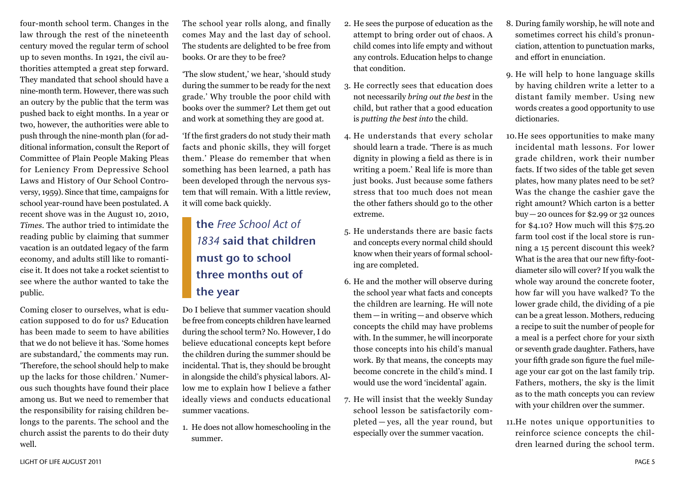four-month school term. Changes in the law through the rest of the nineteenth century moved the regular term of school up to seven months. In 1921, the civil authorities attempted a great step forward. They mandated that school should have a nine-month term. However, there was such an outcry by the public that the term was pushed back to eight months. In a year or two, however, the authorities were able to push through the nine-month plan (for additional information, consult the Report of Committee of Plain People Making Pleas for Leniency From Depressive School Laws and History of Our School Controversy, 1959). Since that time, campaigns for school year-round have been postulated. A recent shove was in the August 10, 2010, *Times*. The author tried to intimidate the reading public by claiming that summer vacation is an outdated legacy of the farm economy, and adults still like to romanticise it. It does not take a rocket scientist to see where the author wanted to take the public.

Coming closer to ourselves, what is education supposed to do for us? Education has been made to seem to have abilities that we do not believe it has. 'Some homes are substandard,' the comments may run. 'Therefore, the school should help to make up the lacks for those children.' Numerous such thoughts have found their place among us. But we need to remember that the responsibility for raising children belongs to the parents. The school and the church assist the parents to do their duty well.

The school year rolls along, and finally comes May and the last day of school. The students are delighted to be free from books. Or are they to be free?

'The slow student,' we hear, 'should study during the summer to be ready for the next grade.' Why trouble the poor child with books over the summer? Let them get out and work at something they are good at.

'If the first graders do not study their math facts and phonic skills, they will forget them.' Please do remember that when something has been learned, a path has been developed through the nervous system that will remain. With a little review, it will come back quickly.

## the *Free School Act of 1834* said that children must go to school three months out of the year

Do I believe that summer vacation should be free from concepts children have learned during the school term? No. However, I do believe educational concepts kept before the children during the summer should be incidental. That is, they should be brought in alongside the child's physical labors. Allow me to explain how I believe a father ideally views and conducts educational summer vacations.

1. He does not allow homeschooling in the summer.

- 2. He sees the purpose of education as the attempt to bring order out of chaos. A child comes into life empty and without any controls. Education helps to change that condition.
- 3. He correctly sees that education does not necessarily *bring out the best* in the child, but rather that a good education is *putting the best into* the child.
- 4. He understands that every scholar should learn a trade. 'There is as much dignity in plowing a field as there is in writing a poem.' Real life is more than just books. Just because some fathers stress that too much does not mean the other fathers should go to the other extreme.
- 5. He understands there are basic facts and concepts every normal child should know when their years of formal schooling are completed.
- 6. He and the mother will observe during the school year what facts and concepts the children are learning. He will note them—in writing—and observe which concepts the child may have problems with. In the summer, he will incorporate those concepts into his child's manual work. By that means, the concepts may become concrete in the child's mind. I would use the word 'incidental' again.
- 7. He will insist that the weekly Sunday school lesson be satisfactorily completed — yes, all the year round, but especially over the summer vacation.
- 8. During family worship, he will note and sometimes correct his child's pronunciation, attention to punctuation marks, and effort in enunciation.
- 9. He will help to hone language skills by having children write a letter to a distant family member. Using new words creates a good opportunity to use dictionaries.
- 10.He sees opportunities to make many incidental math lessons. For lower grade children, work their number facts. If two sides of the table get seven plates, how many plates need to be set? Was the change the cashier gave the right amount? Which carton is a better buy—20 ounces for \$2.99 or 32 ounces for \$4.10? How much will this \$75.20 farm tool cost if the local store is running a 15 percent discount this week? What is the area that our new fifty-footdiameter silo will cover? If you walk the whole way around the concrete footer, how far will you have walked? To the lower grade child, the dividing of a pie can be a great lesson. Mothers, reducing a recipe to suit the number of people for a meal is a perfect chore for your sixth or seventh grade daughter. Fathers, have your fifth grade son figure the fuel mileage your car got on the last family trip. Fathers, mothers, the sky is the limit as to the math concepts you can review with your children over the summer.
- 11.He notes unique opportunities to reinforce science concepts the children learned during the school term.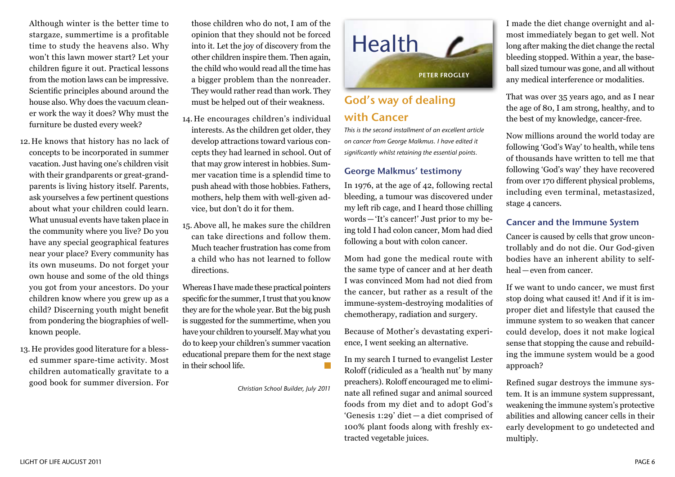Although winter is the better time to stargaze, summertime is a profitable time to study the heavens also. Why won't this lawn mower start? Let your children figure it out. Practical lessons from the motion laws can be impressive. Scientific principles abound around the house also. Why does the vacuum cleaner work the way it does? Why must the furniture be dusted every week?

- 12. He knows that history has no lack of concepts to be incorporated in summer vacation. Just having one's children visit with their grandparents or great-grandparents is living history itself. Parents, ask yourselves a few pertinent questions about what your children could learn. What unusual events have taken place in the community where you live? Do you have any special geographical features near your place? Every community has its own museums. Do not forget your own house and some of the old things you got from your ancestors. Do your children know where you grew up as a child? Discerning youth might benefit from pondering the biographies of wellknown people.
- 13. He provides good literature for a blessed summer spare-time activity. Most children automatically gravitate to a good book for summer diversion. For

those children who do not, I am of the opinion that they should not be forced into it. Let the joy of discovery from the other children inspire them. Then again, the child who would read all the time has a bigger problem than the nonreader. They would rather read than work. They must be helped out of their weakness.

- 14. He encourages children's individual interests. As the children get older, they develop attractions toward various concepts they had learned in school. Out of that may grow interest in hobbies. Summer vacation time is a splendid time to push ahead with those hobbies. Fathers, mothers, help them with well-given advice, but don't do it for them.
- 15. Above all, he makes sure the children can take directions and follow them. Much teacher frustration has come from a child who has not learned to follow directions.

Whereas I have made these practical pointers specific for the summer, I trust that you know they are for the whole year. But the big push is suggested for the summertime, when you have your children to yourself. May what you do to keep your children's summer vacation educational prepare them for the next stage in their school life.

*Christian School Builder, July 2011*



## God's way of dealing with Cancer

*This is the second installment of an excellent article on cancer from George Malkmus. I have edited it significantly whilst retaining the essential points.*

## George Malkmus' testimony

In 1976, at the age of 42, following rectal bleeding, a tumour was discovered under my left rib cage, and I heard those chilling words—'It's cancer!' Just prior to my being told I had colon cancer, Mom had died following a bout with colon cancer.

Mom had gone the medical route with the same type of cancer and at her death I was convinced Mom had not died from the cancer, but rather as a result of the immune-system-destroying modalities of chemotherapy, radiation and surgery.

Because of Mother's devastating experience, I went seeking an alternative.

In my search I turned to evangelist Lester Roloff (ridiculed as a 'health nut' by many preachers). Roloff encouraged me to eliminate all refined sugar and animal sourced foods from my diet and to adopt God's 'Genesis 1:29' diet — a diet comprised of 100% plant foods along with freshly extracted vegetable juices.

I made the diet change overnight and almost immediately began to get well. Not long after making the diet change the rectal bleeding stopped. Within a year, the baseball sized tumour was gone, and all without any medical interference or modalities.

That was over 35 years ago, and as I near the age of 80, I am strong, healthy, and to the best of my knowledge, cancer-free.

Now millions around the world today are following 'God's Way' to health, while tens of thousands have written to tell me that following 'God's way' they have recovered from over 170 different physical problems, including even terminal, metastasized, stage 4 cancers.

## Cancer and the Immune System

Cancer is caused by cells that grow uncontrollably and do not die. Our God-given bodies have an inherent ability to selfheal—even from cancer.

If we want to undo cancer, we must first stop doing what caused it! And if it is improper diet and lifestyle that caused the immune system to so weaken that cancer could develop, does it not make logical sense that stopping the cause and rebuilding the immune system would be a good approach?

Refined sugar destroys the immune system. It is an immune system suppressant, weakening the immune system's protective abilities and allowing cancer cells in their early development to go undetected and multiply.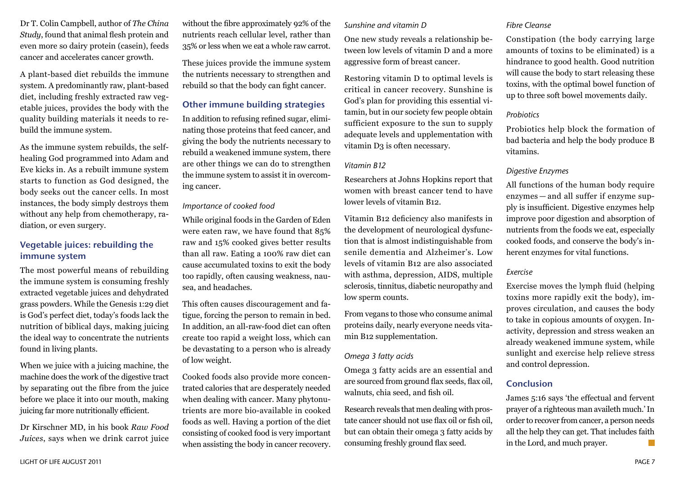Dr T. Colin Campbell, author of *The China Study*, found that animal flesh protein and even more so dairy protein (casein), feeds cancer and accelerates cancer growth.

A plant-based diet rebuilds the immune system. A predominantly raw, plant-based diet, including freshly extracted raw vegetable juices, provides the body with the quality building materials it needs to rebuild the immune system.

As the immune system rebuilds, the selfhealing God programmed into Adam and Eve kicks in. As a rebuilt immune system starts to function as God designed, the body seeks out the cancer cells. In most instances, the body simply destroys them without any help from chemotherapy, radiation, or even surgery.

## Vegetable juices: rebuilding the immune system

The most powerful means of rebuilding the immune system is consuming freshly extracted vegetable juices and dehydrated grass powders. While the Genesis 1:29 diet is God's perfect diet, today's foods lack the nutrition of biblical days, making juicing the ideal way to concentrate the nutrients found in living plants.

When we juice with a juicing machine, the machine does the work of the digestive tract by separating out the fibre from the juice before we place it into our mouth, making juicing far more nutritionally efficient.

Dr Kirschner MD, in his book *Raw Food Juices*, says when we drink carrot juice without the fibre approximately 92% of the nutrients reach cellular level, rather than 35% or less when we eat a whole raw carrot.

These juices provide the immune system the nutrients necessary to strengthen and rebuild so that the body can fight cancer.

## Other immune building strategies

In addition to refusing refined sugar, eliminating those proteins that feed cancer, and giving the body the nutrients necessary to rebuild a weakened immune system, there are other things we can do to strengthen the immune system to assist it in overcoming cancer.

#### *Importance of cooked food*

While original foods in the Garden of Eden were eaten raw, we have found that 85% raw and 15% cooked gives better results than all raw. Eating a 100% raw diet can cause accumulated toxins to exit the body too rapidly, often causing weakness, nausea, and headaches.

This often causes discouragement and fatigue, forcing the person to remain in bed. In addition, an all-raw-food diet can often create too rapid a weight loss, which can be devastating to a person who is already of low weight.

Cooked foods also provide more concentrated calories that are desperately needed when dealing with cancer. Many phytonutrients are more bio-available in cooked foods as well. Having a portion of the diet consisting of cooked food is very important when assisting the body in cancer recovery.

#### *Sunshine and vitamin D*

One new study reveals a relationship between low levels of vitamin D and a more aggressive form of breast cancer.

Restoring vitamin D to optimal levels is critical in cancer recovery. Sunshine is God's plan for providing this essential vitamin, but in our society few people obtain sufficient exposure to the sun to supply adequate levels and upplementation with vitamin D3 is often necessary.

## *Vitamin B12*

Researchers at Johns Hopkins report that women with breast cancer tend to have lower levels of vitamin B12.

Vitamin B12 deficiency also manifests in the development of neurological dysfunction that is almost indistinguishable from senile dementia and Alzheimer's. Low levels of vitamin B12 are also associated with asthma, depression, AIDS, multiple sclerosis, tinnitus, diabetic neuropathy and low sperm counts.

From vegans to those who consume animal proteins daily, nearly everyone needs vitamin B12 supplementation.

## *Omega 3 fatty acids*

Omega 3 fatty acids are an essential and are sourced from ground flax seeds, flax oil, walnuts, chia seed, and fish oil.

Research reveals that men dealing with prostate cancer should not use flax oil or fish oil, but can obtain their omega 3 fatty acids by consuming freshly ground flax seed.

## *Fibre Cleanse*

Constipation (the body carrying large amounts of toxins to be eliminated) is a hindrance to good health. Good nutrition will cause the body to start releasing these toxins, with the optimal bowel function of up to three soft bowel movements daily.

### *Probiotics*

Probiotics help block the formation of bad bacteria and help the body produce B vitamins.

## *Digestive Enzymes*

All functions of the human body require enzymes — and all suffer if enzyme supply is insufficient. Digestive enzymes help improve poor digestion and absorption of nutrients from the foods we eat, especially cooked foods, and conserve the body's inherent enzymes for vital functions.

## *Exercise*

Exercise moves the lymph fluid (helping toxins more rapidly exit the body), improves circulation, and causes the body to take in copious amounts of oxygen. Inactivity, depression and stress weaken an already weakened immune system, while sunlight and exercise help relieve stress and control depression.

## Conclusion

James 5:16 says 'the effectual and fervent prayer of a righteous man availeth much.' In order to recover from cancer, a person needs all the help they can get. That includes faith in the Lord, and much prayer.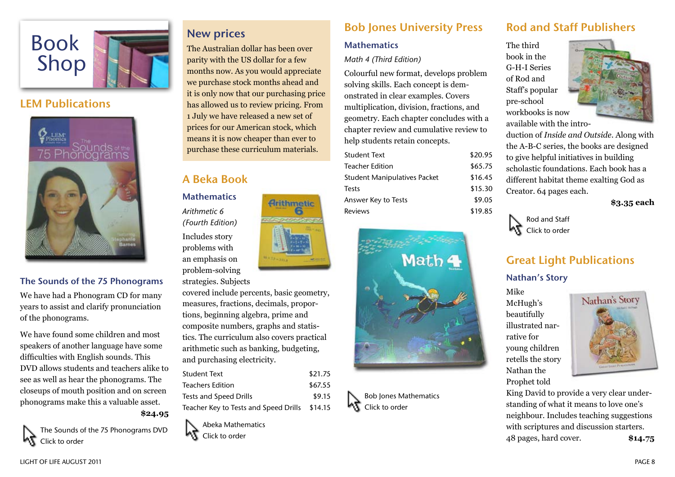

## LEM Publications



## The Sounds of the 75 Phonograms

We have had a Phonogram CD for many years to assist and clarify pronunciation of the phonograms.

We have found some children and most speakers of another language have some difficulties with English sounds. This DVD allows students and teachers alike to see as well as hear the phonograms. The closeups of mouth position and on screen phonograms make this a valuable asset.

**\$24.95**

The Sounds of the 75 Phonograms DVD Click to order

## New prices

The Australian dollar has been over parity with the US dollar for a few months now. As you would appreciate we purchase stock months ahead and it is only now that our purchasing price has allowed us to review pricing. From 1 July we have released a new set of prices for our American stock, which means it is now cheaper than ever to purchase these curriculum materials.

**Arithmetic** 

## A Beka Book

**Mathematics** *Arithmetic 6 (Fourth Edition)* Includes story problems with an emphasis on problem-solving

#### strategies. Subjects

covered include percents, basic geometry, measures, fractions, decimals, proportions, beginning algebra, prime and composite numbers, graphs and statistics. The curriculum also covers practical arithmetic such as banking, budgeting, and purchasing electricity.

| <b>Student Text</b>                           | \$21.75 |
|-----------------------------------------------|---------|
| <b>Teachers Edition</b>                       | \$67.55 |
| Tests and Speed Drills                        | \$9.15  |
| Teacher Key to Tests and Speed Drills \$14.15 |         |



# Bob Jones University Press

## **Mathematics**

## *Math 4 (Third Edition)*

Colourful new format, develops problem solving skills. Each concept is demonstrated in clear examples. Covers multiplication, division, fractions, and geometry. Each chapter concludes with a chapter review and cumulative review to help students retain concepts.

| Student Text                        | \$20.95 |
|-------------------------------------|---------|
| Teacher Edition                     | \$65.75 |
| <b>Student Manipulatives Packet</b> | \$16.45 |
| Tests                               | \$15.30 |
| Answer Key to Tests                 | \$9.05  |
| Reviews                             | \$19.85 |
|                                     |         |



Bob Jones Mathematics Click to order

## Rod and Staff Publishers

The third book in the G-H-I Series of Rod and Staff's popular pre-school workbooks is now available with the intro-



duction of *Inside and Outside*. Along with the A-B-C series, the books are designed to give helpful initiatives in building scholastic foundations. Each book has a different habitat theme exalting God as Creator. 64 pages each.

**\$3.35 each**



## Great Light Publications

## Nathan's Story

Mike McHugh's beautifully illustrated narrative for young children retells the story Nathan the Prophet told



King David to provide a very clear understanding of what it means to love one's neighbour. Includes teaching suggestions with scriptures and discussion starters. 48 pages, hard cover. **\$14.75**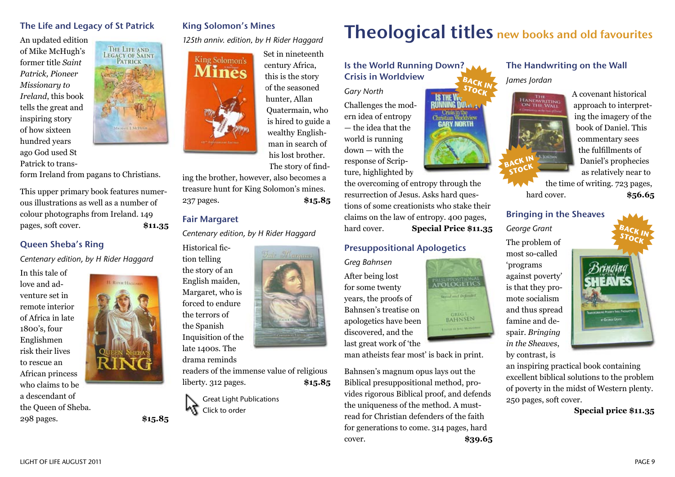## The Life and Legacy of St Patrick

THE LIFE AND LEGACY OF SAINT PATRICK

**HARL LAIGHER** 

An updated edition of Mike McHugh's former title *Saint Patrick, Pioneer Missionary to Ireland*, this book tells the great and inspiring story of how sixteen hundred years ago God used St Patrick to trans-

form Ireland from pagans to Christians.

This upper primary book features numerous illustrations as well as a number of colour photographs from Ireland. 149 pages, soft cover. **\$11.35**

## Queen Sheba's Ring

*Centenary edition, by H Rider Haggard*

In this tale of love and adventure set in remote interior of Africa in late 1800's, four Englishmen risk their lives to rescue an African princess who claims to be a descendant of the Queen of Sheba.



298 pages. **\$15.85**



King Solomon's Mines

*125th anniv. edition, by H Rider Haggard*



## Set in nineteenth century Africa, this is the story of the seasoned hunter, Allan Quatermain, who is hired to guide a wealthy Englishman in search of his lost brother. The story of find-

Fair Maxassen

ing the brother, however, also becomes a treasure hunt for King Solomon's mines. 237 pages. **\$15.85**

## Fair Margaret

*Centenary edition, by H Rider Haggard*

Historical fiction telling the story of an English maiden, Margaret, who is forced to endure the terrors of the Spanish Inquisition of the late 1400s. The

drama reminds

readers of the immense value of religious liberty. 312 pages. **\$15.85**



# Theological titles new books and old favourites

Is the World Running Down? Crisis in Worldview **BACK IN**

> **ING DOLA Crustan Worldview**<br>**GABY NORTH**

POLOGETICS **Great and Difersive** 

**GRIG** 1

*Gary North* Challenges the modern idea of entropy — the idea that the world is running down — with the response of Scripture, highlighted by

the overcoming of entropy through the resurrection of Jesus. Asks hard questions of some creationists who stake their claims on the law of entropy. 400 pages, hard cover. **Special Price \$11.35**

## Presuppositional Apologetics

*Greg Bahnsen*

After being lost for some twenty years, the proofs of Bahnsen's treatise on apologetics have been discovered, and the last great work of 'the

man atheists fear most' is back in print.

Bahnsen's magnum opus lays out the Biblical presuppositional method, provides rigorous Biblical proof, and defends the uniqueness of the method. A mustread for Christian defenders of the faith for generations to come. 314 pages, hard cover. **\$39.65**

## The Handwriting on the Wall *James Jordan*



A covenant historical approach to interpreting the imagery of the book of Daniel. This commentary sees the fulfillments of Daniel's prophecies as relatively near to

the time of writing. 723 pages, hard cover. **\$56.65**

#### Bringing in the Sheaves

*George Grant* The problem of most so-called 'programs against poverty' is that they promote socialism and thus spread famine and despair. *Bringing in the Sheaves*, by contrast, is



an inspiring practical book containing excellent biblical solutions to the problem of poverty in the midst of Western plenty. 250 pages, soft cover.

**Special price \$11.35**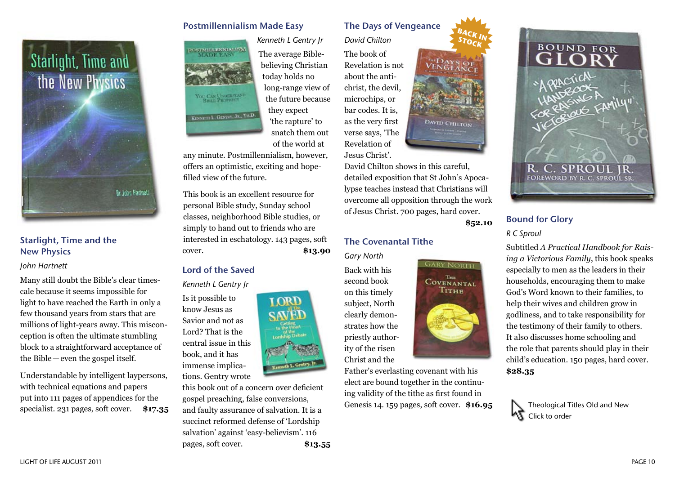

## Starlight, Time and the New Physics

#### *John Hartnett*

Many still doubt the Bible's clear timescale because it seems impossible for light to have reached the Earth in only a few thousand years from stars that are millions of light-years away. This misconception is often the ultimate stumbling block to a straightforward acceptance of the Bible—even the gospel itself.

Understandable by intelligent laypersons, with technical equations and papers put into 111 pages of appendices for the specialist. 231 pages, soft cover. **\$17.35**

## Postmillennialism Made Easy



*Kenneth L Gentry Jr* The average Biblebelieving Christian today holds no long-range view of the future because they expect 'the rapture' to snatch them out of the world at

any minute. Postmillennialism, however, offers an optimistic, exciting and hopefilled view of the future.

This book is an excellent resource for personal Bible study, Sunday school classes, neighborhood Bible studies, or simply to hand out to friends who are interested in eschatology. 143 pages, soft cover. **\$13.90**

## Lord of the Saved

*Kenneth L Gentry Jr*

Is it possible to know Jesus as Savior and not as Lord? That is the central issue in this book, and it has immense implica-

tions. Gentry wrote

this book out of a concern over deficient gospel preaching, false conversions, and faulty assurance of salvation. It is a succinct reformed defense of 'Lordship salvation' against 'easy-believism'. 116 pages, soft cover. **\$13.55**

## The Days of Vengeance

*David Chilton*

The book of Revelation is not about the antichrist, the devil, microchips, or bar codes. It is, as the very first verse says, 'The Revelation of Jesus Christ'.

David Chilton shows in this careful, detailed exposition that St John's Apocalypse teaches instead that Christians will overcome all opposition through the work of Jesus Christ. 700 pages, hard cover.

**\$52.10**

**BACK IN STOCK**

VENGEANCE

DAVID CHILTON

**GARY NORTH** THE **COVENANTAL** Тітне

## The Covenantal Tithe

*Gary North*

Back with his second book on this timely subject, North clearly demonstrates how the priestly authority of the risen Christ and the

Father's everlasting covenant with his elect are bound together in the continuing validity of the tithe as first found in Genesis 14. 159 pages, soft cover. **\$16.95**



## Bound for Glory

*R C Sproul*

Subtitled *A Practical Handbook for Raising a Victorious Family*, this book speaks especially to men as the leaders in their households, encouraging them to make God's Word known to their families, to help their wives and children grow in godliness, and to take responsibility for the testimony of their family to others. It also discusses home schooling and the role that parents should play in their child's education. 150 pages, hard cover. **\$28.35**